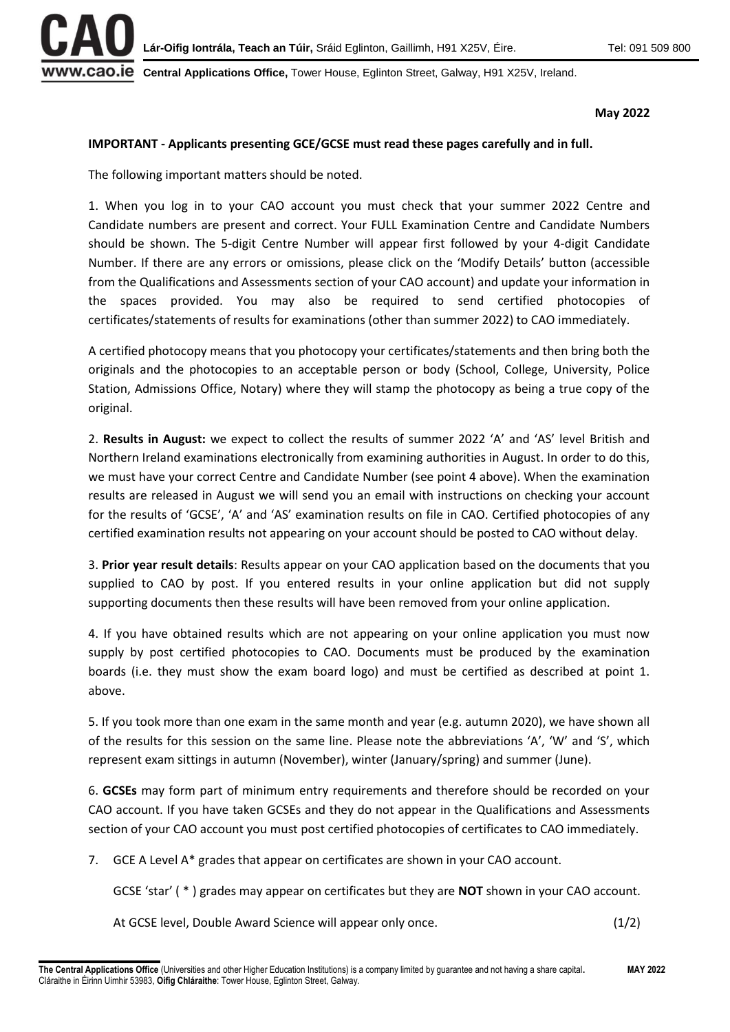

WW.CAO.IE Central Applications Office, Tower House, Eglinton Street, Galway, H91 X25V, Ireland.

**May 2022**

## **IMPORTANT - Applicants presenting GCE/GCSE must read these pages carefully and in full.**

The following important matters should be noted.

1. When you log in to your CAO account you must check that your summer 2022 Centre and Candidate numbers are present and correct. Your FULL Examination Centre and Candidate Numbers should be shown. The 5-digit Centre Number will appear first followed by your 4-digit Candidate Number. If there are any errors or omissions, please click on the 'Modify Details' button (accessible from the Qualifications and Assessments section of your CAO account) and update your information in the spaces provided. You may also be required to send certified photocopies of certificates/statements of results for examinations (other than summer 2022) to CAO immediately.

A certified photocopy means that you photocopy your certificates/statements and then bring both the originals and the photocopies to an acceptable person or body (School, College, University, Police Station, Admissions Office, Notary) where they will stamp the photocopy as being a true copy of the original.

2. **Results in August:** we expect to collect the results of summer 2022 'A' and 'AS' level British and Northern Ireland examinations electronically from examining authorities in August. In order to do this, we must have your correct Centre and Candidate Number (see point 4 above). When the examination results are released in August we will send you an email with instructions on checking your account for the results of 'GCSE', 'A' and 'AS' examination results on file in CAO. Certified photocopies of any certified examination results not appearing on your account should be posted to CAO without delay.

3. **Prior year result details**: Results appear on your CAO application based on the documents that you supplied to CAO by post. If you entered results in your online application but did not supply supporting documents then these results will have been removed from your online application.

4. If you have obtained results which are not appearing on your online application you must now supply by post certified photocopies to CAO. Documents must be produced by the examination boards (i.e. they must show the exam board logo) and must be certified as described at point 1. above.

5. If you took more than one exam in the same month and year (e.g. autumn 2020), we have shown all of the results for this session on the same line. Please note the abbreviations 'A', 'W' and 'S', which represent exam sittings in autumn (November), winter (January/spring) and summer (June).

6. **GCSEs** may form part of minimum entry requirements and therefore should be recorded on your CAO account. If you have taken GCSEs and they do not appear in the Qualifications and Assessments section of your CAO account you must post certified photocopies of certificates to CAO immediately.

7. GCE A Level A\* grades that appear on certificates are shown in your CAO account.

GCSE 'star' ( \* ) grades may appear on certificates but they are **NOT** shown in your CAO account.

At GCSE level, Double Award Science will appear only once. (1/2)